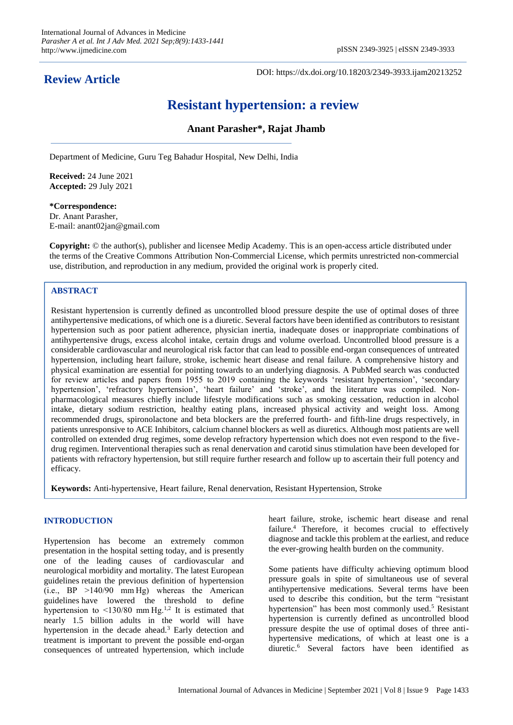## **Review Article**

DOI: https://dx.doi.org/10.18203/2349-3933.ijam20213252

# **Resistant hypertension: a review**

## **Anant Parasher\*, Rajat Jhamb**

Department of Medicine, Guru Teg Bahadur Hospital, New Delhi, India

**Received:** 24 June 2021 **Accepted:** 29 July 2021

**\*Correspondence:** Dr. Anant Parasher, E-mail: anant02jan@gmail.com

**Copyright:** © the author(s), publisher and licensee Medip Academy. This is an open-access article distributed under the terms of the Creative Commons Attribution Non-Commercial License, which permits unrestricted non-commercial use, distribution, and reproduction in any medium, provided the original work is properly cited.

## **ABSTRACT**

Resistant hypertension is currently defined as uncontrolled blood pressure despite the use of optimal doses of three antihypertensive medications, of which one is a diuretic. Several factors have been identified as contributors to resistant hypertension such as poor patient adherence, physician inertia, inadequate doses or inappropriate combinations of antihypertensive drugs, excess alcohol intake, certain drugs and volume overload. Uncontrolled blood pressure is a considerable cardiovascular and neurological risk factor that can lead to possible end-organ consequences of untreated hypertension, including heart failure, stroke, ischemic heart disease and renal failure. A comprehensive history and physical examination are essential for pointing towards to an underlying diagnosis. A PubMed search was conducted for review articles and papers from 1955 to 2019 containing the keywords 'resistant hypertension', 'secondary hypertension', 'refractory hypertension', 'heart failure' and 'stroke', and the literature was compiled. Nonpharmacological measures chiefly include lifestyle modifications such as smoking cessation, reduction in alcohol intake, dietary sodium restriction, healthy eating plans, increased physical activity and weight loss. Among recommended drugs, spironolactone and beta blockers are the preferred fourth- and fifth-line drugs respectively, in patients unresponsive to ACE Inhibitors, calcium channel blockers as well as diuretics. Although most patients are well controlled on extended drug regimes, some develop refractory hypertension which does not even respond to the fivedrug regimen. Interventional therapies such as renal denervation and carotid sinus stimulation have been developed for patients with refractory hypertension, but still require further research and follow up to ascertain their full potency and efficacy.

**Keywords:** Anti-hypertensive, Heart failure, Renal denervation, Resistant Hypertension, Stroke

## **INTRODUCTION**

Hypertension has become an extremely common presentation in the hospital setting today, and is presently one of the leading causes of cardiovascular and neurological morbidity and mortality. The latest European guidelines retain the previous definition of hypertension (i.e., BP >140/90 mm Hg) whereas the American guidelines have lowered the threshold to define hypertension to  $\leq$ 130/80 mm Hg.<sup>1,2</sup> It is estimated that nearly 1.5 billion adults in the world will have hypertension in the decade ahead.<sup>3</sup> Early detection and treatment is important to prevent the possible end-organ consequences of untreated hypertension, which include heart failure, stroke, ischemic heart disease and renal failure.<sup>4</sup> Therefore, it becomes crucial to effectively diagnose and tackle this problem at the earliest, and reduce the ever-growing health burden on the community.

Some patients have difficulty achieving optimum blood pressure goals in spite of simultaneous use of several antihypertensive medications. Several terms have been used to describe this condition, but the term "resistant hypertension" has been most commonly used.<sup>5</sup> Resistant hypertension is currently defined as uncontrolled blood pressure despite the use of optimal doses of three antihypertensive medications, of which at least one is a diuretic.<sup>6</sup> Several factors have been identified as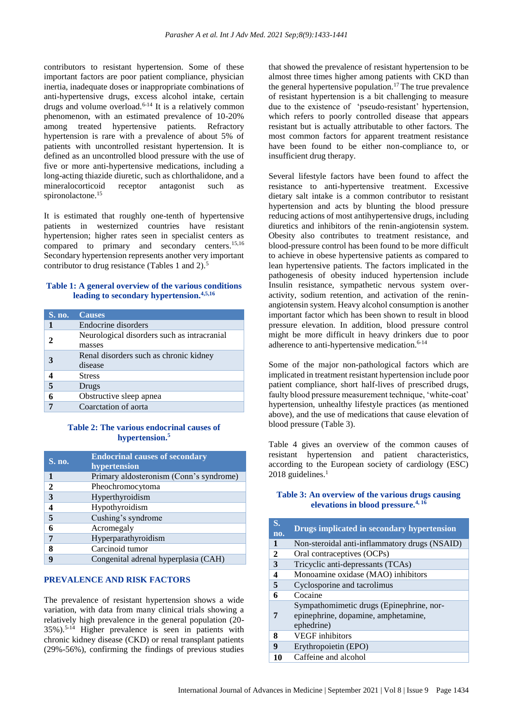contributors to resistant hypertension. Some of these important factors are poor patient compliance, physician inertia, inadequate doses or inappropriate combinations of anti-hypertensive drugs, excess alcohol intake, certain drugs and volume overload. $6-14$  It is a relatively common phenomenon, with an estimated prevalence of 10-20% among treated hypertensive patients. Refractory hypertension is rare with a prevalence of about 5% of patients with uncontrolled resistant hypertension. It is defined as an uncontrolled blood pressure with the use of five or more anti-hypertensive medications, including a long-acting thiazide diuretic, such as chlorthalidone, and a mineralocorticoid receptor antagonist such as spironolactone.<sup>15</sup>

It is estimated that roughly one-tenth of hypertensive patients in westernized countries have resistant hypertension; higher rates seen in specialist centers as compared to primary and secondary centers.<sup>15,16</sup> Secondary hypertension represents another very important contributor to drug resistance (Tables 1 and 2).<sup>5</sup>

## **Table 1: A general overview of the various conditions leading to secondary hypertension.4,5,16**

| <b>S. no.</b> | <b>Causes</b>                                         |
|---------------|-------------------------------------------------------|
|               | Endocrine disorders                                   |
|               | Neurological disorders such as intracranial<br>masses |
|               | Renal disorders such as chronic kidney<br>disease     |
|               | <b>Stress</b>                                         |
| 5             | Drugs                                                 |
|               | Obstructive sleep apnea                               |
|               | Coarctation of aorta                                  |

## **Table 2: The various endocrinal causes of hypertension.<sup>5</sup>**

| <b>S. no.</b> | <b>Endocrinal causes of secondary</b><br>hypertension |
|---------------|-------------------------------------------------------|
| 1             | Primary aldosteronism (Conn's syndrome)               |
| $\mathbf{2}$  | Pheochromocytoma                                      |
| 3             | Hyperthyroidism                                       |
|               | Hypothyroidism                                        |
| 5             | Cushing's syndrome                                    |
| 6             | Acromegaly                                            |
| 7             | Hyperparathyroidism                                   |
| 8             | Carcinoid tumor                                       |
| q             | Congenital adrenal hyperplasia (CAH)                  |

## **PREVALENCE AND RISK FACTORS**

The prevalence of resistant hypertension shows a wide variation, with data from many clinical trials showing a relatively high prevalence in the general population (20- 35%).5-14 Higher prevalence is seen in patients with chronic kidney disease (CKD) or renal transplant patients (29%-56%), confirming the findings of previous studies that showed the prevalence of resistant hypertension to be almost three times higher among patients with CKD than the general hypertensive population.<sup>17</sup> The true prevalence of resistant hypertension is a bit challenging to measure due to the existence of 'pseudo-resistant' hypertension, which refers to poorly controlled disease that appears resistant but is actually attributable to other factors. The most common factors for apparent treatment resistance have been found to be either non-compliance to, or insufficient drug therapy.

Several lifestyle factors have been found to affect the resistance to anti-hypertensive treatment. Excessive dietary salt intake is a common contributor to resistant hypertension and acts by blunting the blood pressure reducing actions of most antihypertensive drugs, including diuretics and inhibitors of the renin-angiotensin system. Obesity also contributes to treatment resistance, and blood-pressure control has been found to be more difficult to achieve in obese hypertensive patients as compared to lean hypertensive patients. The factors implicated in the pathogenesis of obesity induced hypertension include Insulin resistance, sympathetic nervous system overactivity, sodium retention, and activation of the reninangiotensin system. Heavy alcohol consumption is another important factor which has been shown to result in blood pressure elevation. In addition, blood pressure control might be more difficult in heavy drinkers due to poor adherence to anti-hypertensive medication.<sup>6-14</sup>

Some of the major non-pathological factors which are implicated in treatment resistant hypertension include poor patient compliance, short half-lives of prescribed drugs, faulty blood pressure measurement technique, 'white-coat' hypertension, unhealthy lifestyle practices (as mentioned above), and the use of medications that cause elevation of blood pressure (Table 3).

Table 4 gives an overview of the common causes of resistant hypertension and patient characteristics, according to the European society of cardiology (ESC) 2018 guidelines.<sup>1</sup>

## **Table 3: An overview of the various drugs causing elevations in blood pressure.4, 16**

| S.<br>no.    | Drugs implicated in secondary hypertension                                                    |
|--------------|-----------------------------------------------------------------------------------------------|
| 1            | Non-steroidal anti-inflammatory drugs (NSAID)                                                 |
| $\mathbf{2}$ | Oral contraceptives (OCPs)                                                                    |
| 3            | Tricyclic anti-depressants (TCAs)                                                             |
| 4            | Monoamine oxidase (MAO) inhibitors                                                            |
| 5            | Cyclosporine and tacrolimus                                                                   |
| 6            | Cocaine                                                                                       |
| 7            | Sympathomimetic drugs (Epinephrine, nor-<br>epinephrine, dopamine, amphetamine,<br>ephedrine) |
| 8            | <b>VEGF</b> inhibitors                                                                        |
| 9            | Erythropoietin (EPO)                                                                          |
|              | Caffeine and alcohol                                                                          |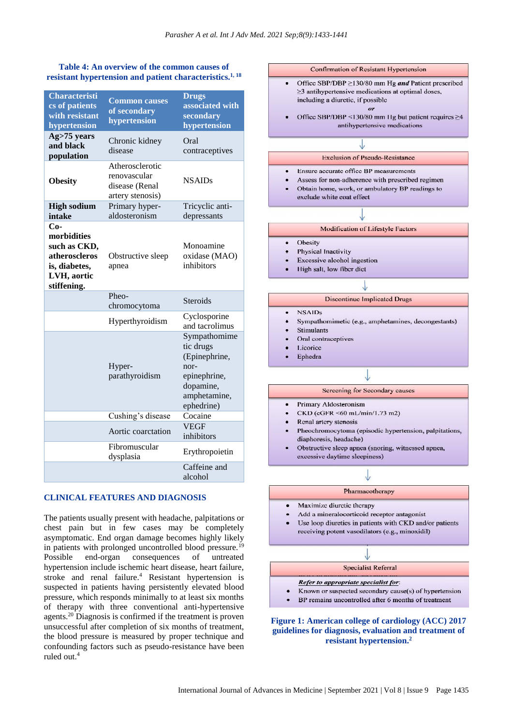## **Table 4: An overview of the common causes of resistant hypertension and patient characteristics.1, 18**

| <b>Characteristi</b><br>cs of patients<br>with resistant<br>hypertension                             | <b>Common causes</b><br>of secondary<br>hypertension                  | <b>Drugs</b><br>associated with<br>secondary<br>hypertension                                                  |
|------------------------------------------------------------------------------------------------------|-----------------------------------------------------------------------|---------------------------------------------------------------------------------------------------------------|
| Ag>75 years<br>and black<br>population                                                               | Chronic kidney<br>disease                                             | Oral<br>contraceptives                                                                                        |
| <b>Obesity</b>                                                                                       | Atherosclerotic<br>renovascular<br>disease (Renal<br>artery stenosis) | <b>NSAIDs</b>                                                                                                 |
| <b>High sodium</b><br>intake                                                                         | Primary hyper-<br>aldosteronism                                       | Tricyclic anti-<br>depressants                                                                                |
| $Co-$<br>morbidities<br>such as CKD,<br>atheroscleros<br>is, diabetes,<br>LVH, aortic<br>stiffening. | Obstructive sleep<br>apnea                                            | Monoamine<br>oxidase (MAO)<br>inhibitors                                                                      |
|                                                                                                      | Pheo-<br>chromocytoma                                                 | <b>Steroids</b>                                                                                               |
|                                                                                                      | Hyperthyroidism                                                       | Cyclosporine<br>and tacrolimus                                                                                |
|                                                                                                      | Hyper-<br>parathyroidism                                              | Sympathomime<br>tic drugs<br>(Epinephrine,<br>nor-<br>epinephrine,<br>dopamine,<br>amphetamine,<br>ephedrine) |
|                                                                                                      | Cushing's disease                                                     | Cocaine                                                                                                       |
|                                                                                                      | Aortic coarctation                                                    | <b>VEGF</b><br>inhibitors                                                                                     |
|                                                                                                      | Fibromuscular<br>dysplasia                                            | Erythropoietin                                                                                                |
|                                                                                                      |                                                                       | Caffeine and<br>alcohol                                                                                       |

#### **CLINICAL FEATURES AND DIAGNOSIS**

The patients usually present with headache, palpitations or chest pain but in few cases may be completely asymptomatic. End organ damage becomes highly likely in patients with prolonged uncontrolled blood pressure.<sup>19</sup> Possible end-organ consequences of untreated hypertension include ischemic heart disease, heart failure, stroke and renal failure.<sup>4</sup> Resistant hypertension is suspected in patients having persistently elevated blood pressure, which responds minimally to at least six months of therapy with three conventional anti-hypertensive agents.<sup>20</sup> Diagnosis is confirmed if the treatment is proven unsuccessful after completion of six months of treatment, the blood pressure is measured by proper technique and confounding factors such as pseudo-resistance have been ruled out.<sup>4</sup>



## **Figure 1: American college of cardiology (ACC) 2017 guidelines for diagnosis, evaluation and treatment of resistant hypertension.2**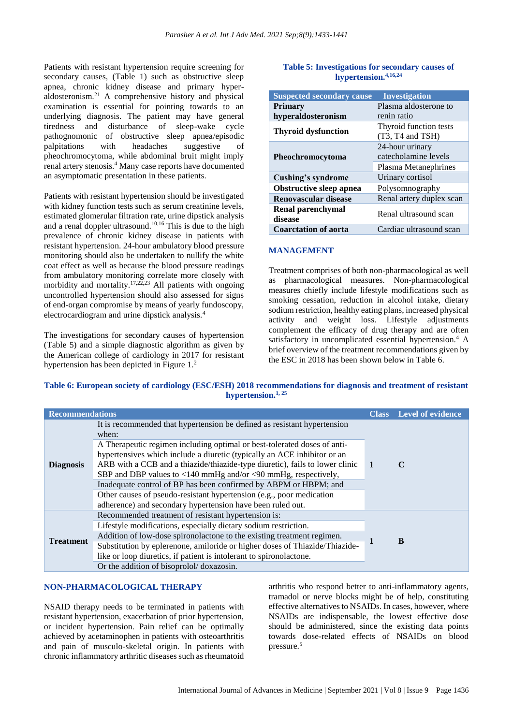Patients with resistant hypertension require screening for secondary causes, (Table 1) such as obstructive sleep apnea, chronic kidney disease and primary hyperapproximation and the physical dosteronism.<sup>21</sup> A comprehensive history and physical examination is essential for pointing towards to an underlying diagnosis. The patient may have general tiredness and disturbance of sleep-wake cycle pathognomonic of obstructive sleep apnea/episodic<br>palpitations with headaches suggestive of palpitations with headaches suggestive of pheochromocytoma, while abdominal bruit might imply renal artery stenosis.<sup>4</sup> Many case reports have documented an asymptomatic presentation in these patients.

Patients with resistant hypertension should be investigated with kidney function tests such as serum creatinine levels, estimated glomerular filtration rate, urine dipstick analysis and a renal doppler ultrasound.10,16 This is due to the high prevalence of chronic kidney disease in patients with resistant hypertension. 24-hour ambulatory blood pressure monitoring should also be undertaken to nullify the white coat effect as well as because the blood pressure readings from ambulatory monitoring correlate more closely with morbidity and mortality. $17,22,23$  All patients with ongoing uncontrolled hypertension should also assessed for signs of end-organ compromise by means of yearly fundoscopy, electrocardiogram and urine dipstick analysis.<sup>4</sup>

The investigations for secondary causes of hypertension (Table 5) and a simple diagnostic algorithm as given by the American college of cardiology in 2017 for resistant hypertension has been depicted in Figure 1.<sup>2</sup>

| Table 5: Investigations for secondary causes of |  |  |
|-------------------------------------------------|--|--|
| hypertension. $4,16,24$                         |  |  |

| <b>Suspected secondary cause</b> | <b>Investigation</b>     |  |
|----------------------------------|--------------------------|--|
| <b>Primary</b>                   | Plasma aldosterone to    |  |
| hyperaldosteronism               | renin ratio              |  |
| <b>Thyroid dysfunction</b>       | Thyroid function tests   |  |
|                                  | $(T3, T4$ and $TSH)$     |  |
|                                  | 24-hour urinary          |  |
| Pheochromocytoma                 | catecholamine levels     |  |
|                                  | Plasma Metanephrines     |  |
| Cushing's syndrome               | Urinary cortisol         |  |
| <b>Obstructive sleep apnea</b>   | Polysomnography          |  |
| Renovascular disease             | Renal artery duplex scan |  |
| <b>Renal parenchymal</b>         | Renal ultrasound scan    |  |
| disease                          |                          |  |
| <b>Coarctation of aorta</b>      | Cardiac ultrasound scan  |  |

## **MANAGEMENT**

Treatment comprises of both non-pharmacological as well as pharmacological measures. Non-pharmacological measures chiefly include lifestyle modifications such as smoking cessation, reduction in alcohol intake, dietary sodium restriction, healthy eating plans, increased physical activity and weight loss. Lifestyle adjustments complement the efficacy of drug therapy and are often satisfactory in uncomplicated essential hypertension.<sup>4</sup> A brief overview of the treatment recommendations given by the ESC in 2018 has been shown below in Table 6.

## **Table 6: European society of cardiology (ESC/ESH) 2018 recommendations for diagnosis and treatment of resistant hypertension.1, 25**

| <b>Recommendations</b> |                                                                                                                                                          | Class        | <b>Level of evidence</b> |
|------------------------|----------------------------------------------------------------------------------------------------------------------------------------------------------|--------------|--------------------------|
| <b>Diagnosis</b>       | It is recommended that hypertension be defined as resistant hypertension<br>when:                                                                        |              |                          |
|                        | A Therapeutic regimen including optimal or best-tolerated doses of anti-                                                                                 |              |                          |
|                        | hypertensives which include a diuretic (typically an ACE inhibitor or an<br>ARB with a CCB and a thiazide/thiazide-type diuretic), fails to lower clinic | $\mathbf{1}$ | C                        |
|                        | SBP and DBP values to $\langle 140 \text{ mmHg} \rangle$ and/or $\langle 90 \text{ mmHg} \rangle$ , respectively,                                        |              |                          |
|                        | Inadequate control of BP has been confirmed by ABPM or HBPM; and                                                                                         |              |                          |
|                        | Other causes of pseudo-resistant hypertension (e.g., poor medication                                                                                     |              |                          |
|                        | adherence) and secondary hypertension have been ruled out.                                                                                               |              |                          |
| <b>Treatment</b>       | Recommended treatment of resistant hypertension is:                                                                                                      |              |                          |
|                        | Lifestyle modifications, especially dietary sodium restriction.                                                                                          |              | B                        |
|                        | Addition of low-dose spironolactone to the existing treatment regimen.                                                                                   |              |                          |
|                        | Substitution by eplerenone, amiloride or higher doses of Thiazide/Thiazide-                                                                              |              |                          |
|                        | like or loop diuretics, if patient is intolerant to spironolactone.                                                                                      |              |                          |
|                        | Or the addition of bisoprolol/doxazosin.                                                                                                                 |              |                          |

#### **NON-PHARMACOLOGICAL THERAPY**

NSAID therapy needs to be terminated in patients with resistant hypertension, exacerbation of prior hypertension, or incident hypertension. Pain relief can be optimally achieved by acetaminophen in patients with osteoarthritis and pain of musculo-skeletal origin. In patients with chronic inflammatory arthritic diseases such as rheumatoid arthritis who respond better to anti-inflammatory agents, tramadol or nerve blocks might be of help, constituting effective alternatives to NSAIDs. In cases, however, where NSAIDs are indispensable, the lowest effective dose should be administered, since the existing data points towards dose-related effects of NSAIDs on blood pressure.5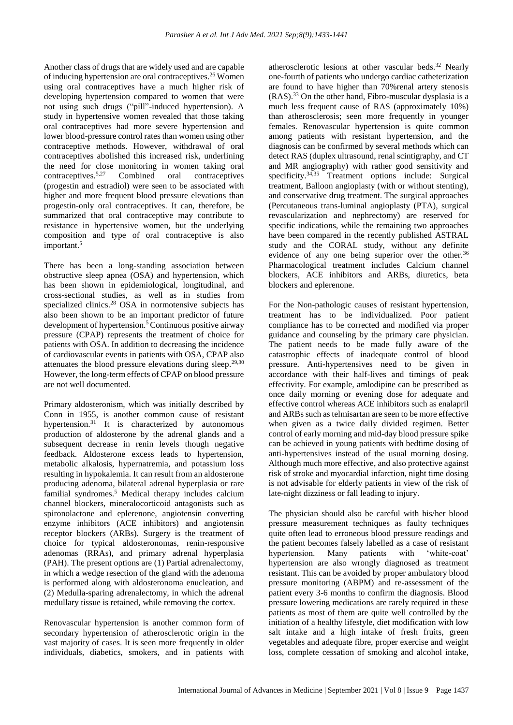Another class of drugs that are widely used and are capable of inducing hypertension are oral contraceptives.<sup>26</sup> Women using oral contraceptives have a much higher risk of developing hypertension compared to women that were not using such drugs ("pill"-induced hypertension). A study in hypertensive women revealed that those taking oral contraceptives had more severe hypertension and lower blood-pressure control rates than women using other contraceptive methods. However, withdrawal of oral contraceptives abolished this increased risk, underlining the need for close monitoring in women taking oral contraceptives.5,27 Combined oral contraceptives (progestin and estradiol) were seen to be associated with higher and more frequent blood pressure elevations than progestin-only oral contraceptives. It can, therefore, be summarized that oral contraceptive may contribute to resistance in hypertensive women, but the underlying composition and type of oral contraceptive is also important.<sup>5</sup>

There has been a long-standing association between obstructive sleep apnea (OSA) and hypertension, which has been shown in epidemiological, longitudinal, and cross-sectional studies, as well as in studies from specialized clinics.<sup>28</sup> OSA in normotensive subjects has also been shown to be an important predictor of future development of hypertension.<sup>5</sup> Continuous positive airway pressure (CPAP) represents the treatment of choice for patients with OSA. In addition to decreasing the incidence of cardiovascular events in patients with OSA, CPAP also attenuates the blood pressure elevations during sleep. $29,30$ However, the long-term effects of CPAP on blood pressure are not well documented.

Primary aldosteronism, which was initially described by Conn in 1955, is another common cause of resistant hypertension.<sup>31</sup> It is characterized by autonomous production of aldosterone by the adrenal glands and a subsequent decrease in renin levels though negative feedback. Aldosterone excess leads to hypertension, metabolic alkalosis, hypernatremia, and potassium loss resulting in hypokalemia. It can result from an aldosterone producing adenoma, bilateral adrenal hyperplasia or rare familial syndromes.<sup>5</sup> Medical therapy includes calcium channel blockers, mineralocorticoid antagonists such as spironolactone and eplerenone, angiotensin converting enzyme inhibitors (ACE inhibitors) and angiotensin receptor blockers (ARBs). Surgery is the treatment of choice for typical aldosteronomas, renin-responsive adenomas (RRAs), and primary adrenal hyperplasia (PAH). The present options are (1) Partial adrenalectomy, in which a wedge resection of the gland with the adenoma is performed along with aldosteronoma enucleation, and (2) Medulla-sparing adrenalectomy, in which the adrenal medullary tissue is retained, while removing the cortex.

Renovascular hypertension is another common form of secondary hypertension of atherosclerotic origin in the vast majority of cases. It is seen more frequently in older individuals, diabetics, smokers, and in patients with atherosclerotic lesions at other vascular beds.<sup>32</sup> Nearly one-fourth of patients who undergo cardiac catheterization are found to have higher than 70%renal artery stenosis (RAS).<sup>33</sup> On the other hand, Fibro-muscular dysplasia is a much less frequent cause of RAS (approximately 10%) than atherosclerosis; seen more frequently in younger females. Renovascular hypertension is quite common among patients with resistant hypertension, and the diagnosis can be confirmed by several methods which can detect RAS (duplex ultrasound, renal scintigraphy, and CT and MR angiography) with rather good sensitivity and specificity.<sup>34,35</sup> Treatment options include: Surgical treatment, Balloon angioplasty (with or without stenting), and conservative drug treatment. The surgical approaches (Percutaneous trans-luminal angioplasty (PTA), surgical revascularization and nephrectomy) are reserved for specific indications, while the remaining two approaches have been compared in the recently published ASTRAL study and the CORAL study, without any definite evidence of any one being superior over the other.<sup>36</sup> Pharmacological treatment includes Calcium channel blockers, ACE inhibitors and ARBs, diuretics, beta blockers and eplerenone.

For the Non-pathologic causes of resistant hypertension, treatment has to be individualized. Poor patient compliance has to be corrected and modified via proper guidance and counseling by the primary care physician. The patient needs to be made fully aware of the catastrophic effects of inadequate control of blood pressure. Anti-hypertensives need to be given in accordance with their half-lives and timings of peak effectivity. For example, amlodipine can be prescribed as once daily morning or evening dose for adequate and effective control whereas ACE inhibitors such as enalapril and ARBs such as telmisartan are seen to be more effective when given as a twice daily divided regimen. Better control of early morning and mid-day blood pressure spike can be achieved in young patients with bedtime dosing of anti-hypertensives instead of the usual morning dosing. Although much more effective, and also protective against risk of stroke and myocardial infarction, night time dosing is not advisable for elderly patients in view of the risk of late-night dizziness or fall leading to injury.

The physician should also be careful with his/her blood pressure measurement techniques as faulty techniques quite often lead to erroneous blood pressure readings and the patient becomes falsely labelled as a case of resistant hypertension. Many patients with 'white-coat' hypertension are also wrongly diagnosed as treatment resistant. This can be avoided by proper ambulatory blood pressure monitoring (ABPM) and re-assessment of the patient every 3-6 months to confirm the diagnosis. Blood pressure lowering medications are rarely required in these patients as most of them are quite well controlled by the initiation of a healthy lifestyle, diet modification with low salt intake and a high intake of fresh fruits, green vegetables and adequate fibre, proper exercise and weight loss, complete cessation of smoking and alcohol intake,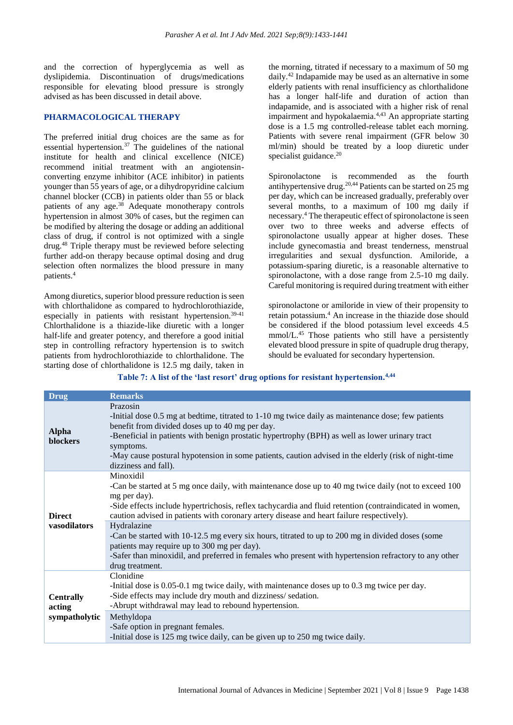and the correction of hyperglycemia as well as dyslipidemia. Discontinuation of drugs/medications responsible for elevating blood pressure is strongly advised as has been discussed in detail above.

## **PHARMACOLOGICAL THERAPY**

The preferred initial drug choices are the same as for essential hypertension.<sup>37</sup> The guidelines of the national institute for health and clinical excellence (NICE) recommend initial treatment with an angiotensinconverting enzyme inhibitor (ACE inhibitor) in patients younger than 55 years of age, or a dihydropyridine calcium channel blocker (CCB) in patients older than 55 or black patients of any age.<sup>38</sup> Adequate monotherapy controls hypertension in almost 30% of cases, but the regimen can be modified by altering the dosage or adding an additional class of drug, if control is not optimized with a single drug.<sup>48</sup> Triple therapy must be reviewed before selecting further add-on therapy because optimal dosing and drug selection often normalizes the blood pressure in many patients.<sup>4</sup>

Among diuretics, superior blood pressure reduction is seen with chlorthalidone as compared to hydrochlorothiazide, especially in patients with resistant hypertension.<sup>39-41</sup> Chlorthalidone is a thiazide-like diuretic with a longer half-life and greater potency, and therefore a good initial step in controlling refractory hypertension is to switch patients from hydrochlorothiazide to chlorthalidone. The starting dose of chlorthalidone is 12.5 mg daily, taken in the morning, titrated if necessary to a maximum of 50 mg daily.<sup>42</sup> Indapamide may be used as an alternative in some elderly patients with renal insufficiency as chlorthalidone has a longer half-life and duration of action than indapamide, and is associated with a higher risk of renal impairment and hypokalaemia.<sup>4,43</sup> An appropriate starting dose is a 1.5 mg controlled-release tablet each morning. Patients with severe renal impairment (GFR below 30 ml/min) should be treated by a loop diuretic under specialist guidance.<sup>20</sup>

Spironolactone is recommended as the fourth antihypertensive drug.20,44 Patients can be started on 25 mg per day, which can be increased gradually, preferably over several months, to a maximum of 100 mg daily if necessary.<sup>4</sup> The therapeutic effect of spironolactone is seen over two to three weeks and adverse effects of spironolactone usually appear at higher doses. These include gynecomastia and breast tenderness, menstrual irregularities and sexual dysfunction. Amiloride, a potassium-sparing diuretic, is a reasonable alternative to spironolactone, with a dose range from 2.5-10 mg daily. Careful monitoring is required during treatment with either

spironolactone or amiloride in view of their propensity to retain potassium.<sup>4</sup> An increase in the thiazide dose should be considered if the blood potassium level exceeds 4.5 mmol/L.<sup>45</sup> Those patients who still have a persistently elevated blood pressure in spite of quadruple drug therapy, should be evaluated for secondary hypertension.

**Table 7: A list of the 'last resort' drug options for resistant hypertension.4,44**

| <b>Drug</b>                                 | <b>Remarks</b>                                                                                                                                                                                                                                                                                                                                                                                                                                                                                                                                                                                                                          |
|---------------------------------------------|-----------------------------------------------------------------------------------------------------------------------------------------------------------------------------------------------------------------------------------------------------------------------------------------------------------------------------------------------------------------------------------------------------------------------------------------------------------------------------------------------------------------------------------------------------------------------------------------------------------------------------------------|
| <b>Alpha</b><br>blockers                    | Prazosin<br>-Initial dose 0.5 mg at bedtime, titrated to 1-10 mg twice daily as maintenance dose; few patients<br>benefit from divided doses up to 40 mg per day.<br>-Beneficial in patients with benign prostatic hypertrophy (BPH) as well as lower urinary tract<br>symptoms.<br>-May cause postural hypotension in some patients, caution advised in the elderly (risk of night-time<br>dizziness and fall).                                                                                                                                                                                                                        |
| <b>Direct</b><br>vasodilators               | Minoxidil<br>-Can be started at 5 mg once daily, with maintenance dose up to 40 mg twice daily (not to exceed 100<br>mg per day).<br>-Side effects include hypertrichosis, reflex tachycardia and fluid retention (contraindicated in women,<br>caution advised in patients with coronary artery disease and heart failure respectively).<br>Hydralazine<br>-Can be started with 10-12.5 mg every six hours, titrated to up to 200 mg in divided doses (some<br>patients may require up to 300 mg per day).<br>-Safer than minoxidil, and preferred in females who present with hypertension refractory to any other<br>drug treatment. |
| <b>Centrally</b><br>acting<br>sympatholytic | Clonidine<br>-Initial dose is $0.05$ -0.1 mg twice daily, with maintenance doses up to 0.3 mg twice per day.<br>-Side effects may include dry mouth and dizziness/sedation.<br>-Abrupt withdrawal may lead to rebound hypertension.<br>Methyldopa<br>-Safe option in pregnant females.<br>-Initial dose is 125 mg twice daily, can be given up to 250 mg twice daily.                                                                                                                                                                                                                                                                   |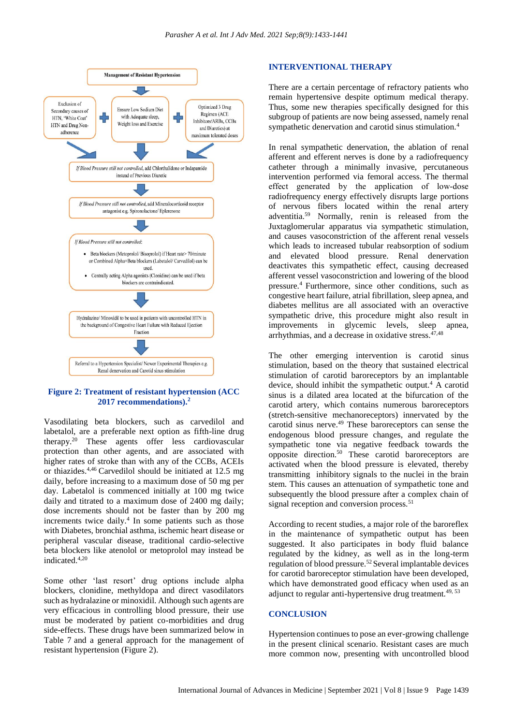

## **Figure 2: Treatment of resistant hypertension (ACC 2017 recommendations).<sup>2</sup>**

Vasodilating beta blockers, such as carvedilol and labetalol, are a preferable next option as fifth-line drug therapy.<sup>20</sup> These agents offer less cardiovascular protection than other agents, and are associated with higher rates of stroke than with any of the CCBs, ACEIs or thiazides.4,46 Carvedilol should be initiated at 12.5 mg daily, before increasing to a maximum dose of 50 mg per day. Labetalol is commenced initially at 100 mg twice daily and titrated to a maximum dose of 2400 mg daily; dose increments should not be faster than by 200 mg increments twice daily.<sup>4</sup> In some patients such as those with Diabetes, bronchial asthma, ischemic heart disease or peripheral vascular disease, traditional cardio-selective beta blockers like atenolol or metoprolol may instead be indicated.4,20

Some other 'last resort' drug options include alpha blockers, clonidine, methyldopa and direct vasodilators such as hydralazine or minoxidil. Although such agents are very efficacious in controlling blood pressure, their use must be moderated by patient co-morbidities and drug side-effects. These drugs have been summarized below in Table 7 and a general approach for the management of resistant hypertension (Figure 2).

#### **INTERVENTIONAL THERAPY**

There are a certain percentage of refractory patients who remain hypertensive despite optimum medical therapy. Thus, some new therapies specifically designed for this subgroup of patients are now being assessed, namely renal sympathetic denervation and carotid sinus stimulation.<sup>4</sup>

In renal sympathetic denervation, the ablation of renal afferent and efferent nerves is done by a radiofrequency catheter through a minimally invasive, percutaneous intervention performed via femoral access. The thermal effect generated by the application of low‐dose radiofrequency energy effectively disrupts large portions of nervous fibers located within the renal artery adventitia.<sup>59</sup> Normally, renin is released from the Juxtaglomerular apparatus via sympathetic stimulation, and causes vasoconstriction of the afferent renal vessels which leads to increased tubular reabsorption of sodium and elevated blood pressure. Renal denervation deactivates this sympathetic effect, causing decreased afferent vessel vasoconstriction and lowering of the blood pressure.<sup>4</sup> Furthermore, since other conditions, such as congestive heart failure, atrial fibrillation, sleep apnea, and diabetes mellitus are all associated with an overactive sympathetic drive, this procedure might also result in improvements in glycemic levels, sleep apnea, arrhythmias, and a decrease in oxidative stress. $47,48$ 

The other emerging intervention is carotid sinus stimulation, based on the theory that sustained electrical stimulation of carotid baroreceptors by an implantable device, should inhibit the sympathetic output.<sup>4</sup> A carotid sinus is a dilated area located at the bifurcation of the carotid artery, which contains numerous baroreceptors (stretch-sensitive mechanoreceptors) innervated by the carotid sinus nerve.<sup>49</sup> These baroreceptors can sense the endogenous blood pressure changes, and regulate the sympathetic tone via negative feedback towards the opposite direction.<sup>50</sup> These carotid baroreceptors are activated when the blood pressure is elevated, thereby transmitting inhibitory signals to the nuclei in the brain stem. This causes an attenuation of sympathetic tone and subsequently the blood pressure after a complex chain of signal reception and conversion process.<sup>51</sup>

According to recent studies, a major role of the baroreflex in the maintenance of sympathetic output has been suggested. It also participates in body fluid balance regulated by the kidney, as well as in the long-term regulation of blood pressure.<sup>52</sup> Several implantable devices for carotid baroreceptor stimulation have been developed, which have demonstrated good efficacy when used as an adjunct to regular anti-hypertensive drug treatment.<sup>49, 53</sup>

#### **CONCLUSION**

Hypertension continues to pose an ever-growing challenge in the present clinical scenario. Resistant cases are much more common now, presenting with uncontrolled blood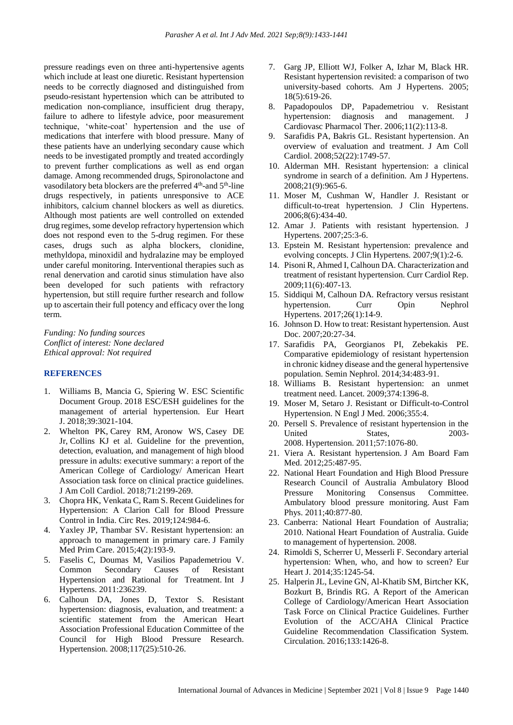pressure readings even on three anti-hypertensive agents which include at least one diuretic. Resistant hypertension needs to be correctly diagnosed and distinguished from pseudo-resistant hypertension which can be attributed to medication non-compliance, insufficient drug therapy, failure to adhere to lifestyle advice, poor measurement technique, 'white-coat' hypertension and the use of medications that interfere with blood pressure. Many of these patients have an underlying secondary cause which needs to be investigated promptly and treated accordingly to prevent further complications as well as end organ damage. Among recommended drugs, Spironolactone and vasodilatory beta blockers are the preferred 4<sup>th</sup>-and 5<sup>th</sup>-line drugs respectively, in patients unresponsive to ACE inhibitors, calcium channel blockers as well as diuretics. Although most patients are well controlled on extended drug regimes, some develop refractory hypertension which does not respond even to the 5-drug regimen. For these cases, drugs such as alpha blockers, clonidine, methyldopa, minoxidil and hydralazine may be employed under careful monitoring. Interventional therapies such as renal denervation and carotid sinus stimulation have also been developed for such patients with refractory hypertension, but still require further research and follow up to ascertain their full potency and efficacy over the long term.

*Funding: No funding sources Conflict of interest: None declared Ethical approval: Not required*

#### **REFERENCES**

- 1. Williams B, Mancia G, Spiering W. ESC Scientific Document Group. 2018 ESC/ESH guidelines for the management of arterial hypertension. Eur Heart J. 2018;39:3021-104.
- 2. Whelton PK, Carey RM, Aronow WS, Casey DE Jr, Collins KJ et al. Guideline for the prevention, detection, evaluation, and management of high blood pressure in adults: executive summary: a report of the American College of Cardiology/ American Heart Association task force on clinical practice guidelines. J Am Coll Cardiol. 2018;71:2199-269.
- 3. Chopra HK, Venkata C, Ram S. Recent Guidelines for Hypertension: A Clarion Call for Blood Pressure Control in India. Circ Res. 2019;124:984-6.
- 4. Yaxley JP, Thambar SV. Resistant hypertension: an approach to management in primary care. J Family Med Prim Care. 2015;4(2):193-9.
- 5. Faselis C, Doumas M, Vasilios Papademetriou V. Common Secondary Causes of Resistant Hypertension and Rational for Treatment. Int J Hypertens. 2011:236239.
- 6. Calhoun DA, Jones D, Textor S. Resistant hypertension: diagnosis, evaluation, and treatment: a scientific statement from the American Heart Association Professional Education Committee of the Council for High Blood Pressure Research. Hypertension. 2008;117(25):510-26.
- 7. Garg JP, Elliott WJ, Folker A, Izhar M, Black HR. Resistant hypertension revisited: a comparison of two university-based cohorts. Am J Hypertens. 2005; 18(5):619-26.
- 8. Papadopoulos DP, Papademetriou v. Resistant hypertension: diagnosis and management. J Cardiovasc Pharmacol Ther. 2006;11(2):113-8.
- 9. Sarafidis PA, Bakris GL. Resistant hypertension. An overview of evaluation and treatment. J Am Coll Cardiol. 2008;52(22):1749-57.
- 10. Alderman MH. Resistant hypertension: a clinical syndrome in search of a definition. Am J Hypertens. 2008;21(9):965-6.
- 11. Moser M, Cushman W, Handler J. Resistant or difficult-to-treat hypertension. J Clin Hypertens. 2006;8(6):434-40.
- 12. Amar J. Patients with resistant hypertension. J Hypertens. 2007;25:3-6.
- 13. Epstein M. Resistant hypertension: prevalence and evolving concepts. J Clin Hypertens. 2007;9(1):2-6.
- 14. Pisoni R, Ahmed I, Calhoun DA. Characterization and treatment of resistant hypertension. Curr Cardiol Rep. 2009;11(6):407-13.
- 15. Siddiqui M, Calhoun DA. Refractory versus resistant hypertension. Curr Opin Nephrol Hypertens. 2017;26(1):14-9.
- 16. Johnson D. How to treat: Resistant hypertension. Aust Doc. 2007;20:27-34.
- 17. Sarafidis PA, Georgianos PI, Zebekakis PE. Comparative epidemiology of resistant hypertension in chronic kidney disease and the general hypertensive population. Semin Nephrol. 2014;34:483-91.
- 18. Williams B. Resistant hypertension: an unmet treatment need. Lancet. 2009;374:1396-8.
- 19. Moser M, Setaro J. Resistant or Difficult-to-Control Hypertension. N Engl J Med. 2006;355:4.
- 20. Persell S. Prevalence of resistant hypertension in the United States, 2003- 2008. Hypertension. 2011;57:1076-80.
- 21. Viera A. Resistant hypertension. J Am Board Fam Med. 2012;25:487-95.
- 22. National Heart Foundation and High Blood Pressure Research Council of Australia Ambulatory Blood Pressure Monitoring Consensus Committee. Ambulatory blood pressure monitoring. Aust Fam Phys. 2011;40:877-80.
- 23. Canberra: National Heart Foundation of Australia; 2010. National Heart Foundation of Australia. Guide to management of hypertension. 2008.
- 24. Rimoldi S, Scherrer U, Messerli F. Secondary arterial hypertension: When, who, and how to screen? Eur Heart J. 2014;35:1245-54.
- 25. Halperin JL, Levine GN, Al-Khatib SM, Birtcher KK, Bozkurt B, Brindis RG. A Report of the American College of Cardiology/American Heart Association Task Force on Clinical Practice Guidelines. Further Evolution of the ACC/AHA Clinical Practice Guideline Recommendation Classification System. Circulation. 2016;133:1426-8.